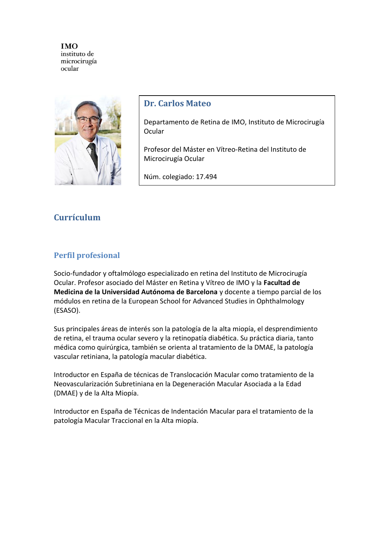

# **Dr. Carlos Mateo**

Departamento de Retina de IMO, Instituto de Microcirugía **Ocular** 

Profesor del Máster en Vítreo-Retina del Instituto de Microcirugía Ocular

Núm. colegiado: 17.494

# **Currículum**

# **Perfil profesional**

Socio-fundador y oftalmólogo especializado en retina del Instituto de Microcirugía Ocular. Profesor asociado del Máster en Retina y Vítreo de IMO y la **Facultad de Medicina de la Universidad Autónoma de Barcelona** y docente a tiempo parcial de los módulos en retina de la European School for Advanced Studies in Ophthalmology (ESASO).

Sus principales áreas de interés son la patología de la [alta miopía,](http://www.imo.es/patologia/alta-miopia/) el [desprendimiento](http://www.imo.es/patologia/desprendimiento-de-retina/)  [de retina,](http://www.imo.es/patologia/desprendimiento-de-retina/) el trauma ocular severo y la [retinopatía diabética.](http://www.imo.es/patologia/retinopatia-diabetica/) Su práctica diaria, tanto médica como quirúrgica, también se orienta al tratamiento de la DMAE, la patología vascular retiniana, la patología macular diabética.

Introductor en España de técnicas de Translocación Macular como tratamiento de la Neovascularización Subretiniana en la Degeneración Macular Asociada a la Edad (DMAE) y de la Alta Miopía.

Introductor en España de Técnicas de Indentación Macular para el tratamiento de la patología Macular Traccional en la Alta miopía.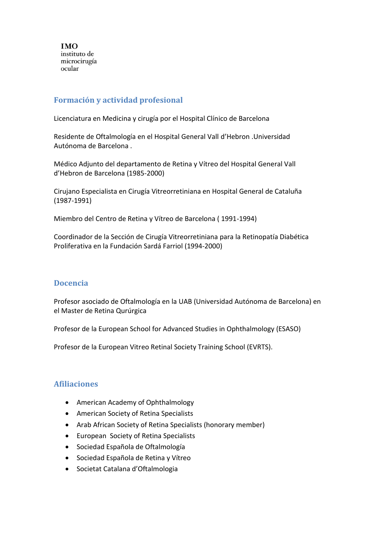# **Formación y actividad profesional**

Licenciatura en Medicina y cirugía por el Hospital Clínico de Barcelona

Residente de Oftalmología en el Hospital General Vall d'Hebron .Universidad Autónoma de Barcelona .

Médico Adjunto del departamento de Retina y Vítreo del Hospital General Vall d'Hebron de Barcelona (1985-2000)

Cirujano Especialista en Cirugía Vitreorretiniana en Hospital General de Cataluña (1987-1991)

Miembro del Centro de Retina y Vítreo de Barcelona ( 1991-1994)

Coordinador de la Sección de Cirugía Vitreorretiniana para la Retinopatía Diabética Proliferativa en la Fundación Sardá Farriol (1994-2000)

## **Docencia**

Profesor asociado de Oftalmología en la UAB (Universidad Autónoma de Barcelona) en el Master de Retina Qurúrgica

Profesor de la European School for Advanced Studies in Ophthalmology (ESASO)

Profesor de la European Vitreo Retinal Society Training School (EVRTS).

## **Afiliaciones**

- American Academy of Ophthalmology
- American Society of Retina Specialists
- Arab African Society of Retina Specialists (honorary member)
- European Society of Retina Specialists
- Sociedad Española de Oftalmología
- Sociedad Española de Retina y Vítreo
- Societat Catalana d'Oftalmologia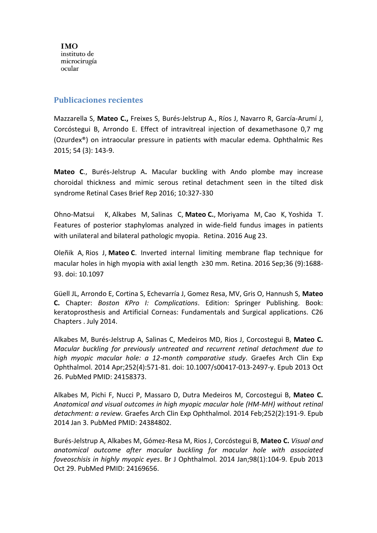#### **Publicaciones recientes**

Mazzarella S, **Mateo C.,** Freixes S, Burés-Jelstrup A., Ríos J, Navarro R, García-Arumí J, Corcóstegui B, Arrondo E. Effect of intravitreal injection of dexamethasone 0,7 mg (Ozurdex®) on intraocular pressure in patients with macular edema. Ophthalmic Res 2015; 54 (3): 143-9.

**Mateo C**., Burés-Jelstrup A**.** Macular buckling with Ando plombe may increase choroidal thickness and mimic serous retinal detachment seen in the tilted disk syndrome Retinal Cases Brief Rep 2016; 10:327-330

[Ohno-Matsui K,](https://www-ncbi-nlm-nih-gov.sire.ub.edu/pubmed/?term=Ohno-Matsui%20K%5BAuthor%5D&cauthor=true&cauthor_uid=27557083) [Alkabes M,](https://www-ncbi-nlm-nih-gov.sire.ub.edu/pubmed/?term=Alkabes%20M%5BAuthor%5D&cauthor=true&cauthor_uid=27557083) [Salinas C,](https://www-ncbi-nlm-nih-gov.sire.ub.edu/pubmed/?term=Salinas%20C%5BAuthor%5D&cauthor=true&cauthor_uid=27557083) **[Mateo](https://www-ncbi-nlm-nih-gov.sire.ub.edu/pubmed/?term=Mateo%20C%5BAuthor%5D&cauthor=true&cauthor_uid=27557083) C.**, [Moriyama M,](https://www-ncbi-nlm-nih-gov.sire.ub.edu/pubmed/?term=Moriyama%20M%5BAuthor%5D&cauthor=true&cauthor_uid=27557083) [Cao K,](https://www-ncbi-nlm-nih-gov.sire.ub.edu/pubmed/?term=Cao%20K%5BAuthor%5D&cauthor=true&cauthor_uid=27557083) [Yoshida T.](https://www-ncbi-nlm-nih-gov.sire.ub.edu/pubmed/?term=Yoshida%20T%5BAuthor%5D&cauthor=true&cauthor_uid=27557083) Features of posterior staphylomas analyzed in wide-field fundus images in patients with unilateral and bilateral pathologic myopia. [Retina.](https://www-ncbi-nlm-nih-gov.sire.ub.edu/pubmed/27557083) 2016 Aug 23.

[Oleñik A,](https://www-ncbi-nlm-nih-gov.sire.ub.edu/pubmed/?term=Ole%C3%B1ik%20A%5BAuthor%5D&cauthor=true&cauthor_uid=26966865) [Rios J,](https://www-ncbi-nlm-nih-gov.sire.ub.edu/pubmed/?term=Rios%20J%5BAuthor%5D&cauthor=true&cauthor_uid=26966865) **[Mateo](https://www-ncbi-nlm-nih-gov.sire.ub.edu/pubmed/?term=Mateo%20C%5BAuthor%5D&cauthor=true&cauthor_uid=26966865) C**. Inverted internal limiting membrane flap technique for macular holes in high myopia with axial length ≥30 mm. [Retina.](https://www-ncbi-nlm-nih-gov.sire.ub.edu/pubmed/26966865) 2016 Sep;36 (9):1688- 93. doi: 10.1097

Güell JL, Arrondo E, Cortina S, Echevarría J, Gomez Resa, MV, Gris O, Hannush S, **Mateo C.** Chapter: *Boston KPro I: Complications*. Edition: Springer Publishing. Book: keratoprosthesis and Artificial Corneas: Fundamentals and Surgical applications. C26 Chapters . July 2014.

Alkabes M, Burés-Jelstrup A, Salinas C, Medeiros MD, Rios J, Corcostegui B, **Mateo C.** *Macular buckling for previously untreated and recurrent retinal detachment due to high myopic macular hole: a 12-month comparative study*. Graefes Arch Clin Exp Ophthalmol. 2014 Apr;252(4):571-81. doi: 10.1007/s00417-013-2497-y. Epub 2013 Oct 26. PubMed PMID: 24158373.

Alkabes M, Pichi F, Nucci P, Massaro D, Dutra Medeiros M, Corcostegui B, **Mateo C.** *Anatomical and visual outcomes in high myopic macular hole (HM-MH) without retinal detachment: a review.* Graefes Arch Clin Exp Ophthalmol. 2014 Feb;252(2):191-9. Epub 2014 Jan 3. PubMed PMID: 24384802.

Burés-Jelstrup A, Alkabes M, Gómez-Resa M, Rios J, Corcóstegui B, **Mateo C.** *Visual and anatomical outcome after macular buckling for macular hole with associated foveoschisis in highly myopic eyes*. Br J Ophthalmol. 2014 Jan;98(1):104-9. Epub 2013 Oct 29. PubMed PMID: 24169656.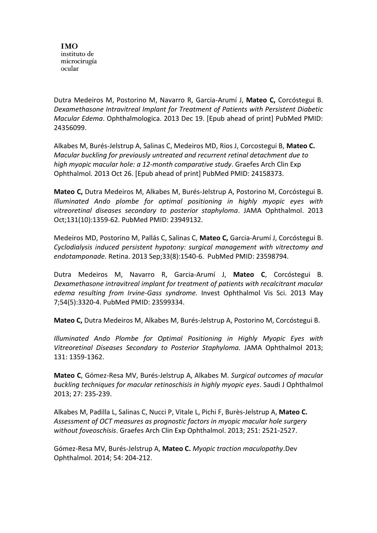Dutra Medeiros M, Postorino M, Navarro R, Garcia-Arumí J, **Mateo C,** Corcóstegui B. *Dexamethasone Intravitreal Implant for Treatment of Patients with Persistent Diabetic Macular Edema*. Ophthalmologica. 2013 Dec 19. [Epub ahead of print] PubMed PMID: 24356099.

Alkabes M, Burés-Jelstrup A, Salinas C, Medeiros MD, Rios J, Corcostegui B, **Mateo C.** *Macular buckling for previously untreated and recurrent retinal detachment due to high myopic macular hole: a 12-month comparative study*. Graefes Arch Clin Exp Ophthalmol. 2013 Oct 26. [Epub ahead of print] PubMed PMID: 24158373.

**Mateo C,** Dutra Medeiros M, Alkabes M, Burés-Jelstrup A, Postorino M, Corcóstegui B. *Illuminated Ando plombe for optimal positioning in highly myopic eyes with vitreoretinal diseases secondary to posterior staphyloma*. JAMA Ophthalmol. 2013 Oct;131(10):1359-62. PubMed PMID: 23949132.

Medeiros MD, Postorino M, Pallás C, Salinas C, **Mateo C,** Garcia-Arumí J, Corcóstegui B. *Cyclodialysis induced persistent hypotony: surgical management with vitrectomy and endotamponade.* Retina. 2013 Sep;33(8):1540-6. PubMed PMID: 23598794.

Dutra Medeiros M, Navarro R, Garcia-Arumí J, **Mateo C**, Corcóstegui B. *Dexamethasone intravitreal implant for treatment of patients with recalcitrant macular edema resulting from Irvine-Gass syndrome.* Invest Ophthalmol Vis Sci. 2013 May 7;54(5):3320-4. PubMed PMID: 23599334.

**Mateo C,** Dutra Medeiros M, Alkabes M, Burés-Jelstrup A, Postorino M, Corcóstegui B.

*Illuminated Ando Plombe for Optimal Positioning in Highly Myopic Eyes with Vitreoretinal Diseases Secondary to Posterior Staphyloma.* JAMA Ophthalmol 2013; 131: 1359-1362.

**Mateo C**, Gómez-Resa MV, Burés-Jelstrup A, Alkabes M. *Surgical outcomes of macular buckling techniques for macular retinoschisis in highly myopic eyes*. Saudi J Ophthalmol 2013; 27: 235-239.

Alkabes M, Padilla L, Salinas C, Nucci P, Vitale L, Pichi F, Burès-Jelstrup A, **Mateo C.** *Assessment of OCT measures as prognostic factors in myopic macular hole surgery without foveoschisis*. Graefes Arch Clin Exp Ophthalmol. 2013; 251: 2521-2527.

Gómez-Resa MV, Burés-Jelstrup A, **Mateo C.** *Myopic traction maculopathy*.Dev Ophthalmol. 2014; 54: 204-212.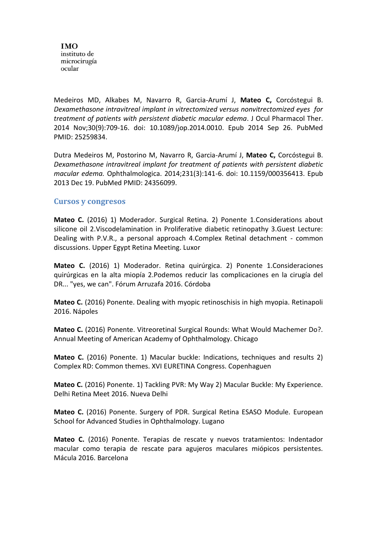Medeiros MD, Alkabes M, Navarro R, Garcia-Arumí J, **Mateo C,** Corcóstegui B. *Dexamethasone intravitreal implant in vitrectomized versus nonvitrectomized eyes for treatment of patients with persistent diabetic macular edema*. J Ocul Pharmacol Ther. 2014 Nov;30(9):709-16. doi: 10.1089/jop.2014.0010. Epub 2014 Sep 26. PubMed PMID: 25259834.

Dutra Medeiros M, Postorino M, Navarro R, Garcia-Arumí J, **Mateo C,** Corcóstegui B. *Dexamethasone intravitreal implant for treatment of patients with persistent diabetic macular edema.* Ophthalmologica. 2014;231(3):141-6. doi: 10.1159/000356413. Epub 2013 Dec 19. PubMed PMID: 24356099.

#### **Cursos y congresos**

**Mateo C.** (2016) 1) Moderador. Surgical Retina. 2) Ponente 1.Considerations about silicone oil 2.Viscodelamination in Proliferative diabetic retinopathy 3.Guest Lecture: Dealing with P.V.R., a personal approach 4.Complex Retinal detachment - common discussions. Upper Egypt Retina Meeting. Luxor

**Mateo C.** (2016) 1) Moderador. Retina quirúrgica. 2) Ponente 1.Consideraciones quirúrgicas en la alta miopía 2.Podemos reducir las complicaciones en la cirugía del DR... "yes, we can". Fórum Arruzafa 2016. Córdoba

**Mateo C.** (2016) Ponente. Dealing with myopic retinoschisis in high myopia. Retinapoli 2016. Nápoles

**Mateo C.** (2016) Ponente. Vitreoretinal Surgical Rounds: What Would Machemer Do?. Annual Meeting of American Academy of Ophthalmology. Chicago

**Mateo C.** (2016) Ponente. 1) Macular buckle: Indications, techniques and results 2) Complex RD: Common themes. XVI EURETINA Congress. Copenhaguen

**Mateo C.** (2016) Ponente. 1) Tackling PVR: My Way 2) Macular Buckle: My Experience. Delhi Retina Meet 2016. Nueva Delhi

**Mateo C.** (2016) Ponente. Surgery of PDR. Surgical Retina ESASO Module. European School for Advanced Studies in Ophthalmology. Lugano

**Mateo C.** (2016) Ponente. Terapias de rescate y nuevos tratamientos: Indentador macular como terapia de rescate para agujeros maculares miópicos persistentes. Mácula 2016. Barcelona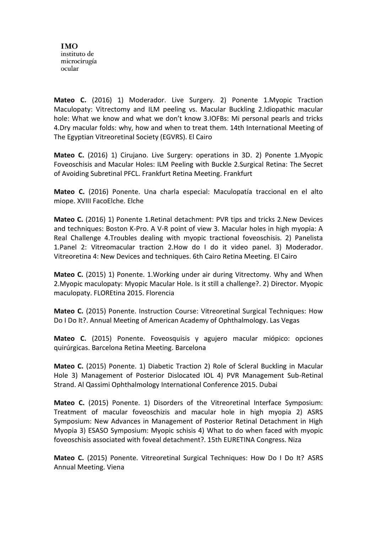**Mateo C.** (2016) 1) Moderador. Live Surgery. 2) Ponente 1.Myopic Traction Maculopaty: Vitrectomy and ILM peeling vs. Macular Buckling 2.Idiopathic macular hole: What we know and what we don't know 3.IOFBs: Mi personal pearls and tricks 4.Dry macular folds: why, how and when to treat them. 14th International Meeting of The Egyptian Vitreoretinal Society (EGVRS). El Cairo

**Mateo C.** (2016) 1) Cirujano. Live Surgery: operations in 3D. 2) Ponente 1.Myopic Foveoschisis and Macular Holes: ILM Peeling with Buckle 2.Surgical Retina: The Secret of Avoiding Subretinal PFCL. Frankfurt Retina Meeting. Frankfurt

**Mateo C.** (2016) Ponente. Una charla especial: Maculopatía traccional en el alto miope. XVIII FacoElche. Elche

**Mateo C.** (2016) 1) Ponente 1.Retinal detachment: PVR tips and tricks 2.New Devices and techniques: Boston K-Pro. A V-R point of view 3. Macular holes in high myopia: A Real Challenge 4.Troubles dealing with myopic tractional foveoschisis. 2) Panelista 1.Panel 2: Vitreomacular traction 2.How do I do it video panel. 3) Moderador. Vitreoretina 4: New Devices and techniques. 6th Cairo Retina Meeting. El Cairo

**Mateo C.** (2015) 1) Ponente. 1.Working under air during Vitrectomy. Why and When 2.Myopic maculopaty: Myopic Macular Hole. Is it still a challenge?. 2) Director. Myopic maculopaty. FLOREtina 2015. Florencia

**Mateo C.** (2015) Ponente. Instruction Course: Vitreoretinal Surgical Techniques: How Do I Do It?. Annual Meeting of American Academy of Ophthalmology. Las Vegas

**Mateo C.** (2015) Ponente. Foveosquisis y agujero macular miópico: opciones quirúrgicas. Barcelona Retina Meeting. Barcelona

**Mateo C.** (2015) Ponente. 1) Diabetic Traction 2) Role of Scleral Buckling in Macular Hole 3) Management of Posterior Dislocated IOL 4) PVR Management Sub-Retinal Strand. Al Qassimi Ophthalmology International Conference 2015. Dubai

**Mateo C.** (2015) Ponente. 1) Disorders of the Vitreoretinal Interface Symposium: Treatment of macular foveoschizis and macular hole in high myopia 2) ASRS Symposium: New Advances in Management of Posterior Retinal Detachment in High Myopia 3) ESASO Symposium: Myopic schisis 4) What to do when faced with myopic foveoschisis associated with foveal detachment?. 15th EURETINA Congress. Niza

**Mateo C.** (2015) Ponente. Vitreoretinal Surgical Techniques: How Do I Do It? ASRS Annual Meeting. Viena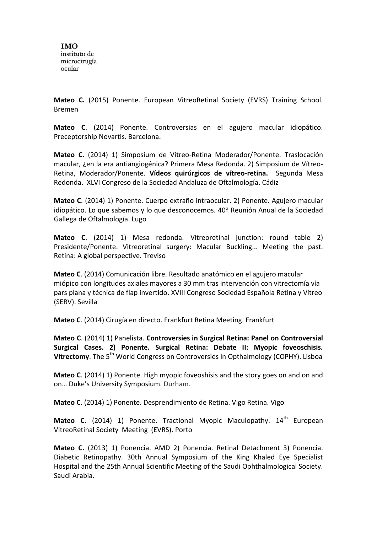**Mateo C.** (2015) Ponente. European VitreoRetinal Society (EVRS) Training School. Bremen

**Mateo C**. (2014) Ponente. Controversias en el agujero macular idiopático. Preceptorship Novartis. Barcelona.

**Mateo C**. (2014) 1) Simposium de Vítreo-Retina Moderador/Ponente. Traslocación macular, ¿en la era antiangiogénica? Primera Mesa Redonda. 2) Simposium de Vítreo-Retina, Moderador/Ponente. **Vídeos quirúrgicos de vítreo-retina.** Segunda Mesa Redonda. XLVI Congreso de la Sociedad Andaluza de Oftalmología. Cádiz

**Mateo C**. (2014) 1) Ponente. Cuerpo extraño intraocular. 2) Ponente. Agujero macular idiopático. Lo que sabemos y lo que desconocemos. 40ª Reunión Anual de la Sociedad Gallega de Oftalmología. Lugo

**Mateo C**. (2014) 1) Mesa redonda. Vitreoretinal junction: round table 2) Presidente/Ponente. Vitreoretinal surgery: Macular Buckling... Meeting the past. Retina: A global perspective. Treviso

**Mateo C**. (2014) Comunicación libre. Resultado anatómico en el agujero macular miópico con longitudes axiales mayores a 30 mm tras intervención con vitrectomía vía pars plana y técnica de flap invertido. XVIII Congreso Sociedad Española Retina y Vítreo (SERV). Sevilla

**Mateo C**. (2014) Cirugía en directo. Frankfurt Retina Meeting. Frankfurt

**Mateo C**. (2014) 1) Panelista. **Controversies in Surgical Retina: Panel on Controversial Surgical Cases. 2) Ponente. Surgical Retina: Debate II: Myopic foveoschisis. Vitrectomy**. The 5<sup>th</sup> World Congress on Controversies in Opthalmology (COPHY). Lisboa

**Mateo C**. (2014) 1) Ponente. High myopic foveoshisis and the story goes on and on and on… Duke's University Symposium. Durham.

**Mateo C**. (2014) 1) Ponente. Desprendimiento de Retina. Vigo Retina. Vigo

**Mateo C.** (2014) 1) Ponente. Tractional Myopic Maculopathy. 14<sup>th</sup> European VitreoRetinal Society Meeting (EVRS). Porto

**Mateo C.** (2013) 1) Ponencia. AMD 2) Ponencia. Retinal Detachment 3) Ponencia. Diabetic Retinopathy. 30th Annual Symposium of the King Khaled Eye Specialist Hospital and the 25th Annual Scientific Meeting of the Saudi Ophthalmological Society. Saudi Arabia.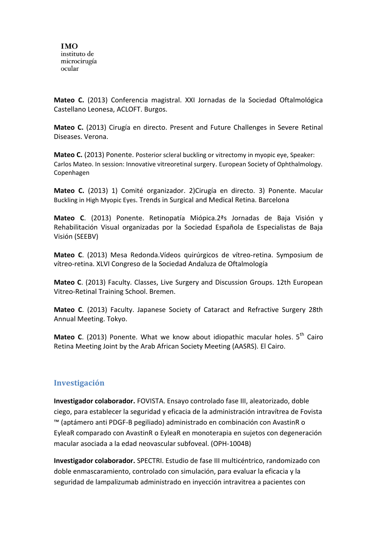**Mateo C.** (2013) Conferencia magistral. XXI Jornadas de la Sociedad Oftalmológica Castellano Leonesa, ACLOFT. Burgos.

**Mateo C.** (2013) Cirugía en directo. Present and Future Challenges in Severe Retinal Diseases. Verona.

**Mateo C.** (2013) Ponente. Posterior scleral buckling or vitrectomy in myopic eye, Speaker: Carlos Mateo. In session: Innovative vitreoretinal surgery. European Society of Ophthalmology. Copenhagen

**Mateo C.** (2013) 1) Comité organizador. 2)Cirugía en directo. 3) Ponente. Macular Buckling in High Myopic Eyes. Trends in Surgical and Medical Retina. Barcelona

**Mateo C**. (2013) Ponente. Retinopatía Miópica.2ªs Jornadas de Baja Visión y Rehabilitación Visual organizadas por la Sociedad Española de Especialistas de Baja Visión (SEEBV)

**Mateo C**. (2013) Mesa Redonda.Vídeos quirúrgicos de vítreo-retina. Symposium de vítreo-retina. XLVI Congreso de la Sociedad Andaluza de Oftalmología

**Mateo C**. (2013) Faculty. Classes, Live Surgery and Discussion Groups. 12th European Vitreo-Retinal Training School. Bremen.

**Mateo C**. (2013) Faculty. Japanese Society of Cataract and Refractive Surgery 28th Annual Meeting. Tokyo.

Mateo C. (2013) Ponente. What we know about idiopathic macular holes. 5<sup>th</sup> Cairo Retina Meeting Joint by the Arab African Society Meeting (AASRS). El Cairo.

## **Investigación**

**Investigador colaborador.** FOVISTA. Ensayo controlado fase III, aleatorizado, doble ciego, para establecer la seguridad y eficacia de la administración intravítrea de Fovista ™ (aptámero anti PDGF-B pegiliado) administrado en combinación con AvastinR o EyleaR comparado con AvastinR o EyleaR en monoterapia en sujetos con degeneración macular asociada a la edad neovascular subfoveal. (OPH-1004B)

**Investigador colaborador.** SPECTRI. Estudio de fase III multicéntrico, randomizado con doble enmascaramiento, controlado con simulación, para evaluar la eficacia y la seguridad de lampalizumab administrado en inyección intravitrea a pacientes con